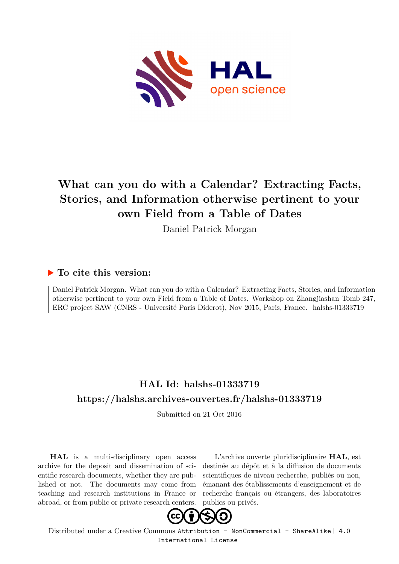

# **What can you do with a Calendar? Extracting Facts, Stories, and Information otherwise pertinent to your own Field from a Table of Dates**

Daniel Patrick Morgan

### **To cite this version:**

Daniel Patrick Morgan. What can you do with a Calendar? Extracting Facts, Stories, and Information otherwise pertinent to your own Field from a Table of Dates. Workshop on Zhangjiashan Tomb 247, ERC project SAW (CNRS - Université Paris Diderot), Nov 2015, Paris, France. halshs-01333719

## **HAL Id: halshs-01333719 <https://halshs.archives-ouvertes.fr/halshs-01333719>**

Submitted on 21 Oct 2016

**HAL** is a multi-disciplinary open access archive for the deposit and dissemination of scientific research documents, whether they are published or not. The documents may come from teaching and research institutions in France or abroad, or from public or private research centers.

L'archive ouverte pluridisciplinaire **HAL**, est destinée au dépôt et à la diffusion de documents scientifiques de niveau recherche, publiés ou non, émanant des établissements d'enseignement et de recherche français ou étrangers, des laboratoires publics ou privés.



Distributed under a Creative Commons [Attribution - NonCommercial - ShareAlike| 4.0](http://creativecommons.org/licenses/by-nc-sa/4.0/) [International License](http://creativecommons.org/licenses/by-nc-sa/4.0/)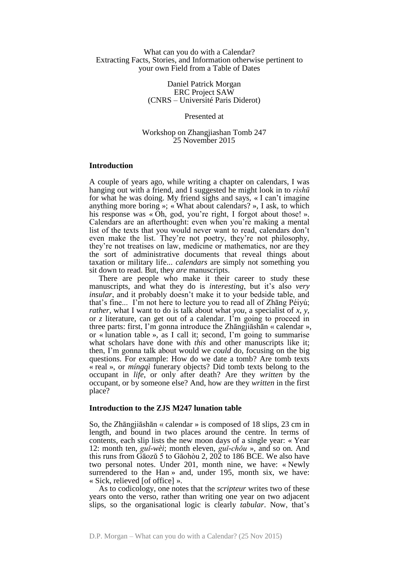#### What can you do with a Calendar? Extracting Facts, Stories, and Information otherwise pertinent to your own Field from a Table of Dates

Daniel Patrick Morgan ERC Project SAW (CNRS – Université Paris Diderot)

Presented at

Workshop on Zhangjiashan Tomb 247 25 November 2015

#### **Introduction**

A couple of years ago, while writing a chapter on calendars, I was hanging out with a friend, and I suggested he might look in to *rìshū* for what he was doing. My friend sighs and says, « I can't imagine anything more boring »; « What about calendars? », I ask, to which his response was « Oh, god, you're right, I forgot about those! ». Calendars are an afterthought: even when you're making a mental list of the texts that you would never want to read, calendars don't even make the list. They're not poetry, they're not philosophy, they're not treatises on law, medicine or mathematics, nor are they the sort of administrative documents that reveal things about taxation or military life... *calendars* are simply not something you sit down to read. But, they *are* manuscripts.

There are people who make it their career to study these manuscripts, and what they do is *interesting*, but it's also *very insular*, and it probably doesn't make it to your bedside table, and that's fine... I'm not here to lecture you to read all of Zhāng Péiyú; *rather*, what I want to do is talk about what *you*, a specialist of *x*, *y*, or *z* literature, can get out of a calendar. I'm going to proceed in three parts: first, I'm gonna introduce the Zhāngjiāshān « calendar », or « lunation table », as I call it; second, I'm going to summarise what scholars have done with *this* and other manuscripts like it; then, I'm gonna talk about would we *could* do, focusing on the big questions. For example: How do we date a tomb? Are tomb texts « real », or *míngqì* funerary objects? Did tomb texts belong to the occupant in *life*, or only after death? Are they *written* by the occupant, or by someone else? And, how are they *written* in the first place?

#### **Introduction to the ZJS M247 lunation table**

So, the Zhāngjiāshān « calendar » is composed of 18 slips, 23 cm in length, and bound in two places around the centre. In terms of contents, each slip lists the new moon days of a single year: « Year 12: month ten, *guǐ-wèi*; month eleven, *guǐ-chǒu* », and so on*.* And this runs from Gāozǔ 5 to Gāohòu 2, 202 to 186 BCE. We also have two personal notes. Under 201, month nine, we have: « Newly surrendered to the Han » and, under 195, month six, we have: « Sick, relieved [of office] ».

As to codicology, one notes that the *scripteur* writes two of these years onto the verso, rather than writing one year on two adjacent slips, so the organisational logic is clearly *tabular*. Now, that's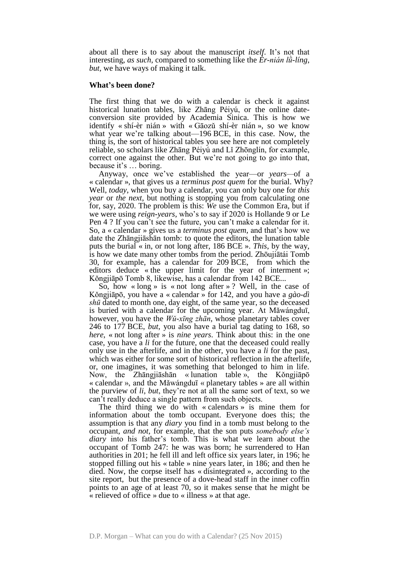about all there is to say about the manuscript *itself*. It's not that interesting, *as such*, compared to something like the *Èr-nián lǜ-líng*, *but*, we have ways of making it talk.

#### **What's been done?**

The first thing that we do with a calendar is check it against historical lunation tables, like Zhāng Péiyú, or the online dateconversion site provided by Academia Sinica. This is how we identify « shí-èr nián » with « Gāozǔ shí-èr nián », so we know what year we're talking about—196 BCE, in this case. Now, the thing is, the sort of historical tables you see here are not completely reliable, so scholars like Zhāng Péiyú and Lǐ Zhōnglín, for example, correct one against the other. But we're not going to go into that, because it's … boring.

Anyway, once we've established the year—or *years—*of a « calendar », that gives us a *terminus post quem* for the burial. Why? Well, *today*, when you buy a calendar, you can only buy one for *this year* or *the next*, but nothing is stopping you from calculating one for, say, 2020. The problem is this: *We* use the Common Era, but if we were using *reign-years*, who's to say if 2020 is Hollande 9 or Le Pen 4 ? If you can't see the future, you can't make a calendar for it. So, a « calendar » gives us a *terminus post quem*, and that's how we date the Zhāngjiāshān tomb: to quote the editors, the lunation table puts the burial « in, or not long after, 186 BCE ». *This*, by the way, is how we date many other tombs from the period. Zhōujiātái Tomb 30, for example, has a calendar for 209 BCE, from which the editors deduce « the upper limit for the year of interment »; Kǒngjiāpō Tomb 8, likewise, has a calendar from 142 BCE...

So, how « long » is « not long after »? Well, in the case of Kǒngjiāpō, you have a « calendar » for 142, and you have a *gào-dì shū* dated to month one, day eight, of the same year, so the deceased is buried with a calendar for the upcoming year. At Mǎwángduī, however, you have the *Wǔ-xīng zhān*, whose planetary tables cover 246 to 177 BCE, *but*, you also have a burial tag dating to 168, so *here*, « not long after » is *nine years*. Think about this: in the one case, you have a *li* for the future, one that the deceased could really only use in the afterlife, and in the other, you have a *li* for the past, which was either for some sort of historical reflection in the afterlife, or, one imagines, it was something that belonged to him in life. Now, the Zhāngjiāshān « lunation table », the Kǒngjiāpō « calendar », and the Mǎwángduī « planetary tables » are all within the purview of *li*, *but*, they're not at all the same sort of text, so we can't really deduce a single pattern from such objects.

The third thing we do with « calendars » is mine them for information about the tomb occupant. Everyone does this; the assumption is that any *diary* you find in a tomb must belong to the occupant, *and not*, for example, that the son puts *somebody else's diary* into his father's tomb. This is what we learn about the occupant of Tomb 247: he was was born; he surrendered to Han authorities in 201; he fell ill and left office six years later, in 196; he stopped filling out his « table » nine years later, in 186; and then he died. Now, the corpse itself has « disintegrated », according to the site report, but the presence of a dove-head staff in the inner coffin points to an age of at least 70, so it makes sense that he might be « relieved of office » due to « illness » at that age.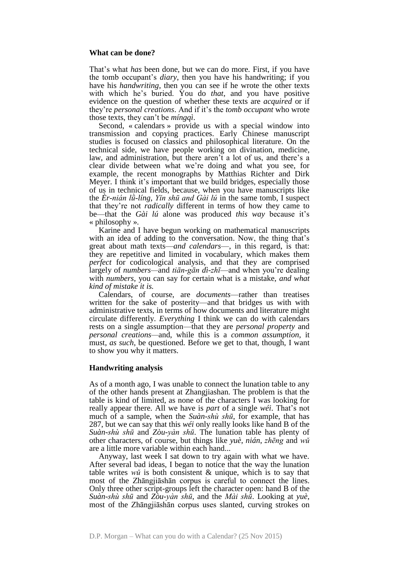#### **What can be done?**

That's what *has* been done, but we can do more. First, if you have the tomb occupant's *diary*, then you have his handwriting; if you have his *handwriting*, then you can see if he wrote the other texts with which he's buried. You do *that*, and you have positive evidence on the question of whether these texts are *acquired* or if they're *personal creations*. And if it's the *tomb occupant* who wrote those texts, they can't be *míngqì*.

Second, « calendars » provide us with a special window into transmission and copying practices. Early Chinese manuscript studies is focused on classics and philosophical literature. On the technical side, we have people working on divination, medicine, law, and administration, but there aren't a lot of us, and there's a clear divide between what we're doing and what you see, for example, the recent monographs by Matthias Richter and Dirk Meyer. I think it's important that we build bridges, especially those of us in technical fields, because, when you have manuscripts like the *Èr-nián lǜ-líng*, *Yǐn shū and Gài lú* in the same tomb, I suspect that they're not *radically* different in terms of how they came to be—that the *Gài lú* alone was produced *this way* because it's « philosophy ».

Karine and I have begun working on mathematical manuscripts with an idea of adding to the conversation. Now, the thing that's great about math texts—*and calendars*—, in this regard, is that: they are repetitive and limited in vocabulary, which makes them *perfect* for codicological analysis, and that they are comprised largely of *numbers—*and *tiān-gān dì-zhī*—and when you're dealing with *numbers*, you can say for certain what is a mistake, *and what kind of mistake it is.*

Calendars, of course, are *documents*—rather than treatises written for the sake of posterity—and that bridges us with with administrative texts, in terms of how documents and literature might circulate differently. *Everything* I think we can do with calendars rests on a single assumption—that they are *personal property* and *personal creations—*and, while this is a *common assumption*, it must, *as such*, be questioned. Before we get to that, though, I want to show you why it matters.

#### **Handwriting analysis**

As of a month ago, I was unable to connect the lunation table to any of the other hands present at Zhangjiashan. The problem is that the table is kind of limited, as none of the characters I was looking for really appear there. All we have is *part* of a single *wéi*. That's not much of a sample, when the *Suàn-shù shū*, for example, that has 287, but we can say that this *wéi* only really looks like hand B of the *Suàn-shù shū* and *Zòu-yàn shū*. The lunation table has plenty of other characters, of course, but things like *yuè*, *nián*, *zhēng* and *wǔ* are a little more variable within each hand...

Anyway, last week I sat down to try again with what we have. After several bad ideas, I began to notice that the way the lunation table writes *wǔ* is both consistent & unique, which is to say that most of the Zhāngjiāshān corpus is careful to connect the lines. Only three other script-groups left the character open: hand B of the *Suàn-shù shū* and *Zòu-yàn shū*, and the *Mài shū*. Looking at *yuè*, most of the Zhāngjiāshān corpus uses slanted, curving strokes on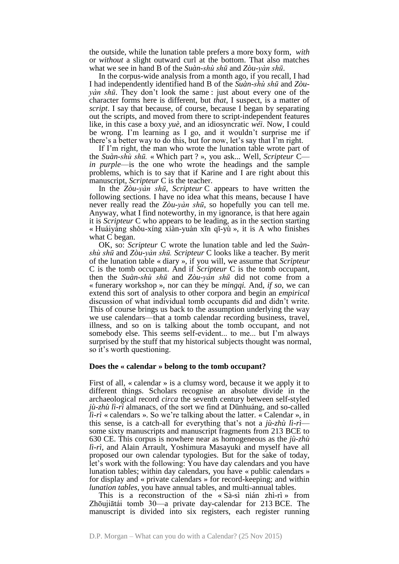the outside, while the lunation table prefers a more boxy form, *with* or *without* a slight outward curl at the bottom. That also matches what we see in hand B of the *Suàn-shù shū* and *Zòu-yàn shū*.

In the corpus-wide analysis from a month ago, if you recall, I had I had independently identified hand B of the *Suàn-shù shū* and *Zòuyàn shū*. They don't look the same : just about every one of the character forms here is different, but *that*, I suspect, is a matter of *script*. I say that because, of course, because I began by separating out the scripts, and moved from there to script-independent features like, in this case a boxy *yuè*, and an idiosyncratic *wéi*. Now, I could be wrong. I'm learning as I go, and it wouldn't surprise me if there's a better way to do this, but for now, let's say that I'm right.

If I'm right, the man who wrote the lunation table wrote part of the *Suàn-shù shū.* « Which part ? », you ask... Well, *Scripteur* C *in purple*—is the one who wrote the headings and the sample problems, which is to say that if Karine and I are right about this manuscript, *Scripteur* C is the teacher.

In the *Zòu-yàn shū*, *Scripteur* C appears to have written the following sections. I have no idea what this means, because I have never really read the *Zòu-yàn shū*, so hopefully you can tell me. Anyway, what I find noteworthy, in my ignorance, is that here again it is *Scripteur* C who appears to be leading, as in the section starting « Huáiyáng shǒu-xíng xiàn-yuàn xīn qī-yù », it is A who finishes what C began.

OK, so: *Scripteur* C wrote the lunation table and led the *Suànshù shū* and *Zòu-yàn shū. Scripteur* C looks like a teacher. By merit of the lunation table « diary », if you will, we assume that *Scripteur*  C is the tomb occupant. And if *Scripteur* C is the tomb occupant, then the *Suàn-shù shū* and *Zòu-yàn shū* did not come from a « funerary workshop », nor can they be *mingqi.* And, *if so*, we can extend this sort of analysis to other corpora and begin an *empirical* discussion of what individual tomb occupants did and didn't write. This of course brings us back to the assumption underlying the way we use calendars—that a tomb calendar recording business, travel, illness, and so on is talking about the tomb occupant, and not somebody else. This seems self-evident... to me... but I'm always surprised by the stuff that my historical subjects thought was normal, so it's worth questioning.

#### **Does the « calendar » belong to the tomb occupant?**

First of all, « calendar » is a clumsy word, because it we apply it to different things. Scholars recognise an absolute divide in the archaeological record *circa* the seventh century between self-styled *jù-zhù lì-rì* almanacs, of the sort we find at Dūnhuáng, and so-called *lì-rì* « calendars ». So we're talking about the latter. « Calendar », in this sense, is a catch-all for everything that's not a *jù-zhù lì-rì* some sixty manuscripts and manuscript fragments from 213 BCE to 630 CE. This corpus is nowhere near as homogeneous as the *jù-zhù lì-rì*, and Alain Arrault, Yoshimura Masayuki and myself have all proposed our own calendar typologies. But for the sake of today, let's work with the following: You have day calendars and you have lunation tables; within day calendars, you have « public calendars » for display and « private calendars » for record-keeping; and within *lunation tables*, you have annual tables, and multi-annual tables.

This is a reconstruction of the « Sà-sì nián zhì-rì » from Zhōujiātái tomb 30—a private day-calendar for 213 BCE. The manuscript is divided into six registers, each register running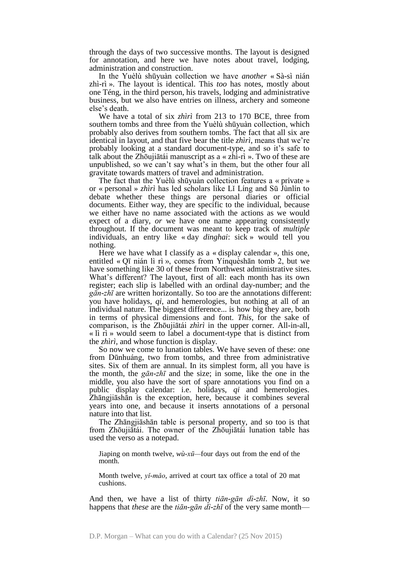through the days of two successive months. The layout is designed for annotation, and here we have notes about travel, lodging, administration and construction.

In the Yuèlù shūyuàn collection we have *another* « Sà-sì nián zhì-rì ». The layout is identical. This *too* has notes, mostly about one Téng, in the third person, his travels, lodging and administrative business, but we also have entries on illness, archery and someone else's death.

We have a total of six *zhìrì* from 213 to 170 BCE, three from southern tombs and three from the Yuèlù shūyuàn collection, which probably also derives from southern tombs. The fact that all six are identical in layout, and that five bear the title *zhìrì*, means that we're probably looking at a standard document-type, and so it's safe to talk about the Zhōujiātái manuscript as a « zhì-rì ». Two of these are unpublished, so we can't say what's in them, but the other four all gravitate towards matters of travel and administration.

The fact that the Yuèlù shūyuàn collection features a « private » or « personal » *zhìrì* has led scholars like Lǐ Líng and Sū Jùnlín to debate whether these things are personal diaries or official documents. Either way, they are specific to the individual, because we either have no name associated with the actions as we would expect of a diary, *or* we have one name appearing consistently throughout. If the document was meant to keep track of *multiple*  individuals, an entry like « day *dinghai*: sick » would tell you nothing.

Here we have what I classify as a « display calendar », this one, entitled « Qī nián lì rì », comes from Yínquèshān tomb 2, but we have something like 30 of these from Northwest administrative sites. What's different? The layout, first of all: each month has its own register; each slip is labelled with an ordinal day-number; and the *gān-zhī* are written horizontally. So too are the annotations different: you have holidays, *qi*, and hemerologies, but nothing at all of an individual nature. The biggest difference... is how big they are, both in terms of physical dimensions and font. *This*, for the sake of comparison, is the Zhōujiātái *zhìrì* in the upper corner. All-in-all,  $\langle \cdot \rangle$  if  $\hat{\mathbf{n}}$  » would seem to label a document-type that is distinct from the *zhìrì,* and whose function is display.

So now we come to lunation tables. We have seven of these: one from Dūnhuáng, two from tombs, and three from administrative sites. Six of them are annual. In its simplest form, all you have is the month, the *gān-zhī* and the size; in some, like the one in the middle, you also have the sort of spare annotations you find on a public display calendar: i.e. holidays, *qi* and hemerologies. Zhāngjiāshān is the exception, here, because it combines several years into one, and because it inserts annotations of a personal nature into that list.

The Zhāngjiāshān table is personal property, and so too is that from Zhōujiātái. The owner of the Zhōujiātái lunation table has used the verso as a notepad.

Jiaping on month twelve, *wù-xū—*four days out from the end of the month.

Month twelve, *yǐ-mǎo*, arrived at court tax office a total of 20 mat cushions.

And then, we have a list of thirty *tiān-gān dì-zhī*. Now, it so happens that *these* are the *tiān-gān dì-zhī* of the very same month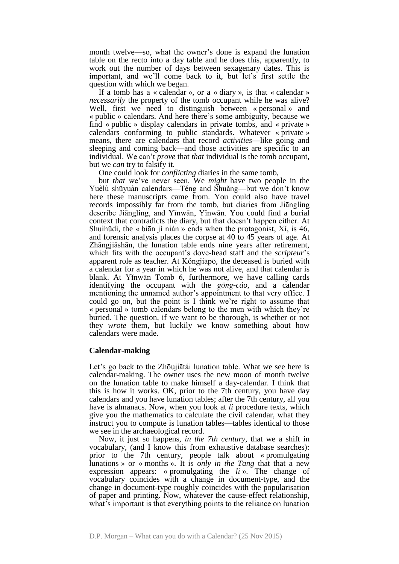month twelve—so, what the owner's done is expand the lunation table on the recto into a day table and he does this, apparently, to work out the number of days between sexagenary dates. This is important, and we'll come back to it, but let's first settle the question with which we began.

If a tomb has a « calendar », or a « diary », is that « calendar » *necessarily* the property of the tomb occupant while he was alive? Well, first we need to distinguish between « personal » and « public » calendars. And here there's some ambiguity, because we find « public » display calendars in private tombs, and « private » calendars conforming to public standards. Whatever « private » means, there are calendars that record *activities*—like going and sleeping and coming back—and those activities are specific to an individual. We can't *prove* that *that* individual is the tomb occupant, but we *can* try to falsify it.

One could look for *conflicting* diaries in the same tomb,

but *that* we've never seen. We *might* have two people in the Yuèlù shūyuàn calendars—Téng and Shuǎng—but we don't know here these manuscripts came from. You could also have travel records impossibly far from the tomb, but diaries from Jiānglíng describe Jiānglíng, and Yǐnwān, Yǐnwān. You could find a burial context that contradicts the diary, but that doesn't happen either. At Shuìhǔdì, the « biān jì nián » ends when the protagonist, Xǐ, is 46, and forensic analysis places the corpse at 40 to 45 years of age. At Zhāngjiāshān, the lunation table ends nine years after retirement, which fits with the occupant's dove-head staff and the *scripteur*'s apparent role as teacher. At Kǒngjiāpō, the deceased is buried with a calendar for a year in which he was not alive, and that calendar is blank. At Yǐnwān Tomb 6, furthermore, we have calling cards identifying the occupant with the *gōng-cáo*, and a calendar mentioning the unnamed author's appointment to that very office. I could go on, but the point is I think we're right to assume that « personal » tomb calendars belong to the men with which they're buried. The question, if we want to be thorough, is whether or not they *wrote* them, but luckily we know something about how calendars were made.

#### **Calendar-making**

Let's go back to the Zhōujiātái lunation table. What we see here is calendar-making. The owner uses the new moon of month twelve on the lunation table to make himself a day-calendar. I think that this is how it works. OK, prior to the 7th century, you have day calendars and you have lunation tables; after the 7th century, all you have is almanacs. Now, when you look at *li* procedure texts, which give you the mathematics to calculate the civil calendar, what they instruct you to compute is lunation tables—tables identical to those we see in the archaeological record.

Now, it just so happens, *in the 7th century*, that we a shift in vocabulary, (and I know this from exhaustive database searches): prior to the 7th century, people talk about « promulgating lunations » or « months ». It is *only in the Tang* that that a new expression appears: « promulgating the *li* ». The change of vocabulary coincides with a change in document-type, and the change in document-type roughly coincides with the popularisation of paper and printing. Now, whatever the cause-effect relationship, what's important is that everything points to the reliance on lunation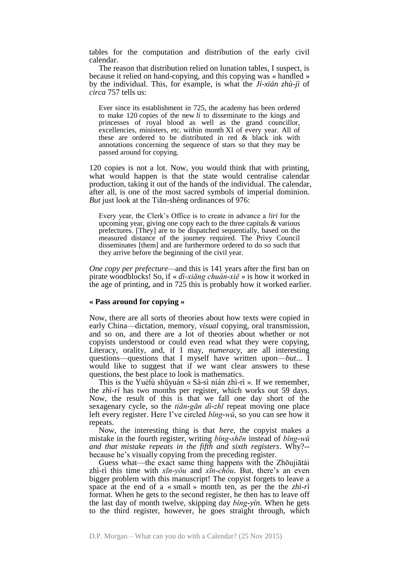tables for the computation and distribution of the early civil calendar.

The reason that distribution relied on lunation tables, I suspect, is because it relied on hand-copying, and this copying was « handled » by the individual. This, for example, is what the *Jí-xián zhù-jì* of *circa* 757 tells us:

Ever since its establishment in 725, the academy has been ordered to make 120 copies of the new *li* to disseminate to the kings and princesses of royal blood as well as the grand councillor, excellencies, ministers, etc. within month XI of every year. All of these are ordered to be distributed in red & black ink with annotations concerning the sequence of stars so that they may be passed around for copying.

120 copies is not a lot. Now, you would think that with printing, what would happen is that the state would centralise calendar production, taking it out of the hands of the individual. The calendar, after all, is one of the most sacred symbols of imperial dominion. *But* just look at the Tiān-shèng ordinances of 976:

Every year, the Clerk's Office is to create in advance a *liri* for the upcoming year, giving one copy each to the three capitals & various prefectures. [They] are to be dispatched sequentially, based on the measured distance of the journey required. The Privy Council disseminates [them] and are furthermore ordered to do so such that they arrive before the beginning of the civil year.

*One copy per prefecture—*and this is 141 years after the first ban on pirate woodblocks! So, if « *dì-xiāng chuán-xiě* » is how it worked in the age of printing, and in 725 this is probably how it worked earlier.

#### **« Pass around for copying »**

Now, there are all sorts of theories about how texts were copied in early China—dictation, memory, *visual* copying, oral transmission, and so on, and there are a lot of theories about whether or not copyists understood or could even read what they were copying, Literacy, orality, and, if I may, *numeracy*, are all interesting questions—questions that I myself have written upon—*but*... I would like to suggest that if we want clear answers to these questions, the best place to look is mathematics.

This is the Yuèlù shūyuàn « Sà-sì nián zhì-rì ». If we remember, the *zhì-rì* has two months per register, which works out 59 days. Now, the result of this is that we fall one day short of the sexagenary cycle, so the *tiān-gān dì-zhī* repeat moving one place left every register. Here I've circled *bǐng-wǔ*, so you can see how it repeats.

Now, the interesting thing is that *here*, the copyist makes a mistake in the fourth register, writing *bǐng-shēn* instead of *bǐng-wǔ and that mistake repeats in the fifth and sixth registers*. Why?- because he's visually copying from the preceding register.

Guess what—the exact same thing happens with the Zhōujiātái zhì-rì this time with *xīn-yǒu* and *xīn-chǒu*. But, there's an even bigger problem with this manuscript! The copyist forgets to leave a space at the end of a « small » month ten, as per the the *zhì-rì* format. When he gets to the second register, he then has to leave off the last day of month twelve, skipping day *bǐng-yín*. When he gets to the third register, however, he goes straight through, which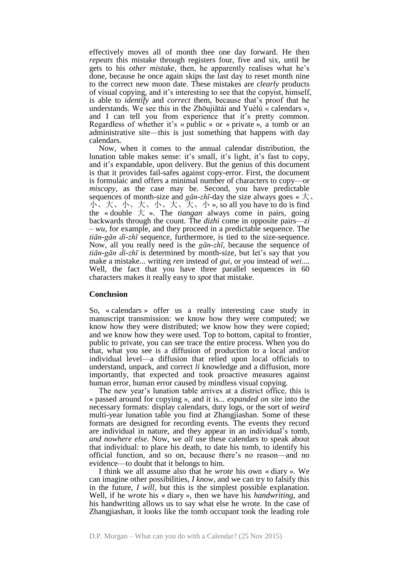effectively moves all of month thee one day forward. He then *repeats* this mistake through registers four, five and six, until he gets to his *other mistake*, then, he apparently realises what he's done, because he once again skips the last day to reset month nine to the correct new moon date. These mistakes are *clearly* products of visual copying, and it's interesting to see that the copyist, himself, is able to *identify* and *correct* them, because that's proof that he understands. We see this in the Zhōujiātái and Yuèlù « calendars », and I can tell you from experience that it's pretty common. Regardless of whether it's « public » or « private », a tomb or an administrative site—this is just something that happens with day calendars.

Now, when it comes to the annual calendar distribution, the lunation table makes sense: it's small, it's light, it's fast to copy, and it's expandable, upon delivery. But the genius of this document is that it provides fail-safes against copy-error. First, the document is formulaic and offers a minimal number of characters to copy—or *miscopy*, as the case may be. Second, you have predictable sequences of month-size and *gān-zhī*-day the size always goes  $\ll \pm$ . 小、大、小、大、小、大、大、小 », so all you have to do is find the « double  $\pm$  ». The *tiangan* always come in pairs, going backwards through the count. The *dizhi* come in opposite pairs—*zi – wu*, for example, and they proceed in a predictable sequence. The *tiān-gān dì-zhī* sequence, furthermore, is tied to the size-sequence. Now, all you really need is the *gān-zhī*, because the sequence of *tiān-gān dì-zhī* is determined by month-size, but let's say that you make a mistake... writing *ren* instead of *gui*, or *you* instead of *wei*.... Well, the fact that you have three parallel sequences in 60 characters makes it really easy to *spot* that mistake.

#### **Conclusion**

So, « calendars » offer us a really interesting case study in manuscript transmission: we know how they were computed; we know how they were distributed; we know how they were copied; and we know how they were used. Top to bottom, capital to frontier, public to private, you can see trace the entire process. When you do that, what you see is a diffusion of production to a local and/or individual level—a diffusion that relied upon local officials to understand, unpack, and correct *li* knowledge and a diffusion, more importantly, that expected and took proactive measures against human error, human error caused by mindless visual copying.

The new year's lunation table arrives at a district office, this is « passed around for copying », and it is... *expanded on site* into the necessary formats: display calendars, duty logs, or the sort of *weird* multi-year lunation table you find at Zhangjiashan. Some of these formats are designed for recording events. The events they record are individual in nature, and they appear in an individual's tomb, *and nowhere else*. Now, we *all* use these calendars to speak about that individual: to place his death, to date his tomb, to identify his official function, and so on, because there's no reason—and no evidence—to doubt that it belongs to him.

I think we all assume also that he *wrote* his own « diary ». We can imagine other possibilities, *I know*, and we can try to falsify this in the future, *I will*, but this is the simplest possible explanation. Well, if he *wrote* his « diary », then we have his *handwriting*, and his handwriting allows us to say what else he wrote. In the case of Zhangjiashan, it looks like the tomb occupant took the leading role